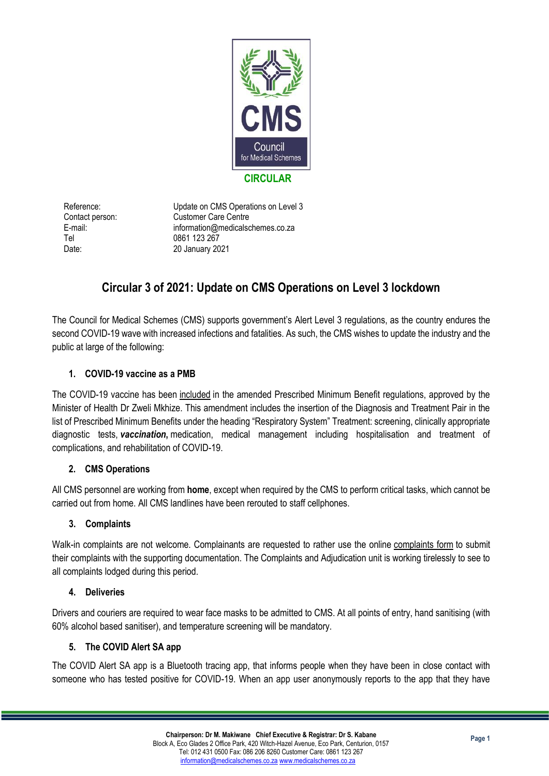

Tel 0861 123 267

Reference: Update on CMS Operations on Level 3 Contact person: Customer Care Centre E-mail: information@medicalschemes.co.za Date: 20 January 2021

# **Circular 3 of 2021: Update on CMS Operations on Level 3 lockdown**

The Council for Medical Schemes (CMS) supports government's Alert Level 3 regulations, as the country endures the second COVID-19 wave with increased infections and fatalities. As such, the CMS wishes to update the industry and the public at large of the following:

# **1. COVID-19 vaccine as a PMB**

The COVID-19 vaccine has been [included](https://www.medicalschemes.co.za/wp-content/uploads/2021/01/COVID-gazette.pdf) in the amended Prescribed Minimum Benefit regulations, approved by the Minister of Health Dr Zweli Mkhize. This amendment includes the insertion of the Diagnosis and Treatment Pair in the list of Prescribed Minimum Benefits under the heading "Respiratory System" Treatment: screening, clinically appropriate diagnostic tests, *vaccination***,** medication, medical management including hospitalisation and treatment of complications, and rehabilitation of COVID-19.

# **2. CMS Operations**

All CMS personnel are working from **home**, except when required by the CMS to perform critical tasks, which cannot be carried out from home. All CMS landlines have been rerouted to staff cellphones.

### **3. Complaints**

Walk-in complaints are not welcome. Complainants are requested to rather use the online [complaints](https://www.medicalschemes.co.za/complaint-form) form to submit their complaints with the supporting documentation. The Complaints and Adjudication unit is working tirelessly to see to all complaints lodged during this period.

### **4. Deliveries**

Drivers and couriers are required to wear face masks to be admitted to CMS. At all points of entry, hand sanitising (with 60% alcohol based sanitiser), and temperature screening will be mandatory.

### **5. The COVID Alert SA app**

The COVID Alert SA app is a Bluetooth tracing app, that informs people when they have been in close contact with someone who has tested positive for COVID-19. When an app user anonymously reports to the app that they have